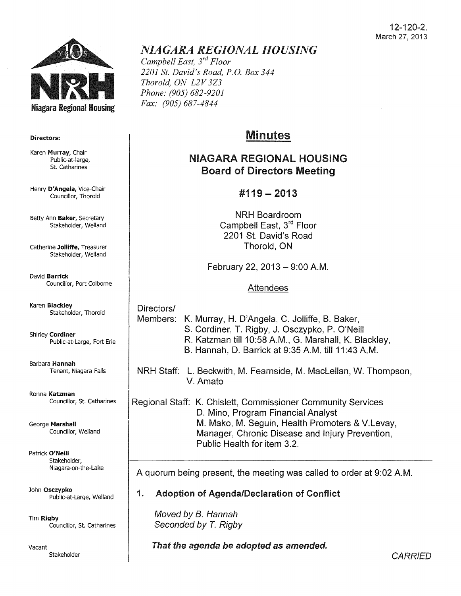

#### Directors:

Karen Murray, Chair Public-at-large, St. Catharines

Henry D'Angela, Vice-Chair Councillor, Thorold

Betty Ann Baker, Secretary Stakeholder, Weiland

Catherine Jolliffe, Treasurer Stakeholder, Weiland

David Barrick Councillor, Port Colborne

Karen Blackley Stakeholder, Thorold

Shirley Cordiner Public-at-Large, Fort Erie

Barbara Hannah Tenant, Niagara Falls

Ronna Katzman Councillor, St. Catharines

George Marshall Councillor, Weiland

Patrick O'Neill Stakeholder, Niagara-on-the-Lake

John Osczypko Public-at-Large, Weiland

Tim Rigby Councillor, St. Catharines

Vacant **Stakeholder** 

# *NIAGARA REGIONAL HOUSING*

*Campbell East, 3rd Floor 2201 St. David's Road, P.O. Box 344 Thorold, ON L2V 3Z3 Phone: (905) 682-9201 Fax: (905) 687-4844* 

# Minutes

# NIAGARA REGIONAL HOUSING Board of Directors Meeting

## #119- 2013

NRH Boardroom Campbell East, 3<sup>rd</sup> Floor 2201 St. David's Road Thorold, ON

February 22, 2013  $-9:00$  A.M.

#### Attendees

Directors/

- Members: K. Murray, H. D'Angela, C. Jolliffe, B. Baker,
	- S. Cordiner, T. Rigby, J. Osczypko, P. O'Neill
	- R. Katzman till 10:58 A.M., G. Marshall, K. Blackley,
	- B. Hannah, D. Barrick at 9:35A.M. till 11:43 A.M.
- NRH Staff: l. Beckwith, M. Fearnside, M. Maclellan, W. Thompson, V. Amato

Regional Staff: K. Chislett, Commissioner Community Services D. Mino, Program Financial Analyst M. Mako, M. Seguin, Health Promoters & V.Levay, Manager, Chronic Disease and Injury Prevention, Public Health for item 3.2.

A quorum being present, the meeting was called to order at 9:02 A.M.

## 1. Adoption of Agenda/Declaration of Conflict

Moved by B. Hannah Seconded by T. Rigby

That the agenda be adopted as amended.

**CARRIED**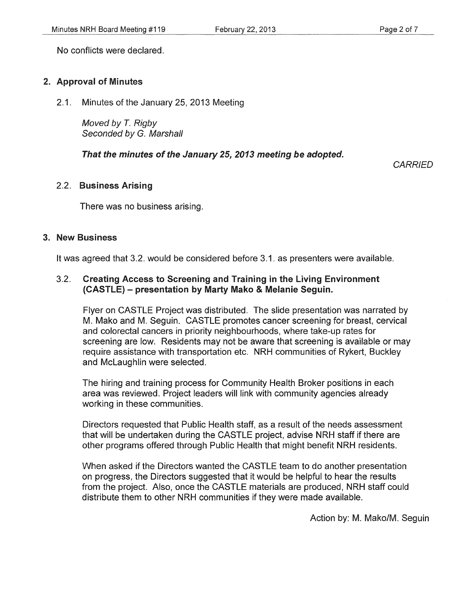No conflicts were declared.

#### 2. Approval of Minutes

2.1. Minutes of the January 25, 2013 Meeting

Moved by *T.* Rigby Seconded by G. Marshall

#### That the minutes of the January 25, 2013 meeting be adopted.

**CARRIED** 

#### 2.2. Business Arising

There was no business arising.

#### 3. New Business

It was agreed that 3.2. would be considered before 3.1. as presenters were available.

#### 3.2. Creating Access to Screening and Training in the Living Environment (CASTLE) - presentation by Marty Mako & Melanie Sequin.

Flyer on CASTLE Project was distributed. The slide presentation was narrated by M. Mako and M. Seguin. CASTLE promotes cancer screening for breast, cervical and colorectal cancers in priority neighbourhoods, where take-up rates for screening are low. Residents may not be aware that screening is available or may require assistance with transportation etc. NRH communities of Rykert, Buckley and Mclaughlin were selected.

The hiring and training process for Community Health Broker positions in each area was reviewed. Project leaders will link with community agencies already working in these communities.

Directors requested that Public Health staff, as a result of the needs assessment that will be undertaken during the CASTLE project, advise NRH staff if there are other programs offered through Public Health that might benefit NRH residents.

When asked if the Directors wanted the CASTLE team to do another presentation on progress, the Directors suggested that it would be helpful to hear the results from the project. Also, once the CASTLE materials are produced, NRH staff could distribute them to other NRH communities if they were made available.

Action by: M. Mako/M. Seguin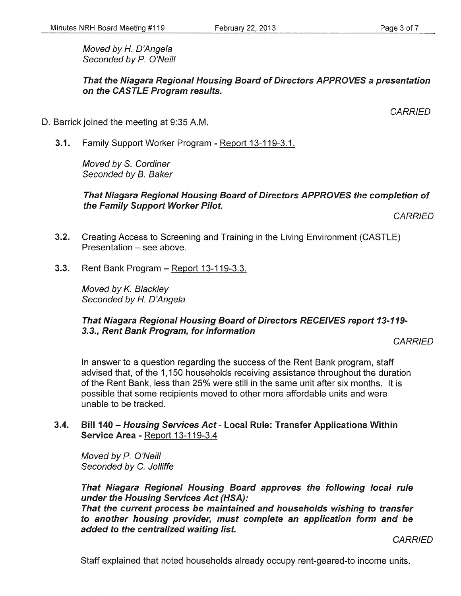That the Niagara Regional Housing Board of Directors APPROVES a presentation on the CASTLE Program results.

- D. Barrick joined the meeting at 9:35A.M.
	- 3.1. Family Support Worker Program- Report 13-119-3.1.

Moved by S. Cordiner Seconded by B. Baker

#### That Niagara Regional Housing Board of Directors APPROVES the completion of the Family Support Worker Pilot.

**CARRIED** 

- 3.2. Creating Access to Screening and Training in the Living Environment (CASTLE) Presentation - see above.
- **3.3.** Rent Bank Program Report 13-119-3.3.

Moved by K. Blackley Seconded by H. D'Angela

#### That Niagara Regional Housing Board of Directors RECEIVES report 13-119-3.3., Rent Bank Program, for information

**CARRIED** 

In answer to a question regarding the success of the Rent Bank program, staff advised that, of the 1,150 households receiving assistance throughout the duration of the Rent Bank, less than 25% were still in the same unit after six months. It is possible that some recipients moved to other more affordable units and were unable to be tracked.

#### 3.4. Bill 140- Housing Services Act- Local Rule: Transfer Applications Within Service Area - Report 13-119-3.4

Moved by P. O'Neill Seconded by C. Jolliffe

That Niagara Regional Housing Board approves the following local rule under the Housing Services Act (HSA):

That the current process be maintained and households wishing to transfer to another housing provider, must complete an application form and be added to the centralized waiting list.

**CARRIED** 

Staff explained that noted households already occupy rent-geared-to income units.

**CARRIED**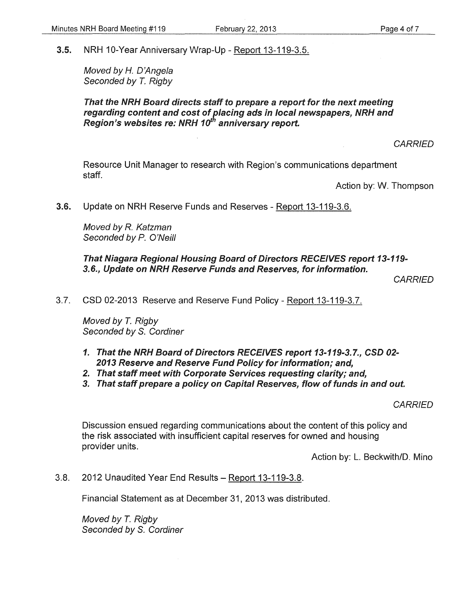3.5. NRH 10-Year Anniversary Wrap-Up- Report 13-119-3.5.

Moved by *H.* D'Angela Seconded by *T.* Rigby

#### That the NRH Board directs staff to prepare a report for the next meeting regarding content and cost of placing ads in local newspapers, NRH and Region's websites re: NRH 10"' anniversary report.

**CARRIED** 

Resource Unit Manager to research with Region's communications department staff.

Action by: W. Thompson

3.6. Update on NRH Reserve Funds and Reserves - Report 13-119-3.6.

Moved by R. Katzman Seconded by *P.* O'Neill

That Niagara Regional Housing Board of Directors RECEIVES report 13-119- 3.6., Update on NRH Reserve Funds and Reserves, for information.

**CARRIED** 

3.7. CSD 02-2013 Reserve and Reserve Fund Policy- Report 13-119-3.7.

Moved by *T.* Rigby Seconded by S. Cordiner

- 1. That the NRH Board of Directors RECEIVES report 13-119-3.7., CSD 02-2013 Reserve and Reserve Fund Policy for information; and,
- 2. That staff meet with Corporate Services requesting clarity; and,
- 3. That staff prepare a policy on Capital Reserves, flow of funds in and out.

#### **CARRIED**

Discussion ensued regarding communications about the content of this policy and the risk associated with insufficient capital reserves for owned and housing provider units.

Action by: L. Beckwith/D. Mino

3.8. 2012 Unaudited Year End Results- Report 13-119-3.8.

Financial Statement as at December 31, 2013 was distributed.

Moved by T. Rigby Seconded by S. Cordiner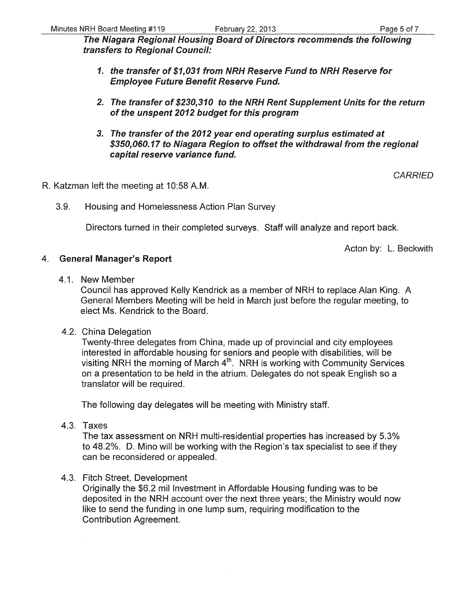The Niagara Regional Housing Board of Directors recommends the following transfers to Regional Council:

- 1. the transfer of \$1,031 from NRH Reserve Fund to NRH Reserve for Employee Future Benefit Reserve Fund.
- 2. The transfer of \$230,310 to the NRH Rent Supplement Units for the return of the unspent 2012 budget for this program
- 3. The transfer of the 2012 year end operating surplus estimated at \$350,060.17 to Niagara Region to offset the withdrawal from the regional capital reserve variance fund.

**CARRIED** 

R. Katzman left the meeting at 10:58 A.M.

3.9. Housing and Homelessness Action Plan Survey

Directors turned in their completed surveys. Staff will analyze and report back.

Acton by: L. Beckwith

#### 4. General Manager's Report

4.1. New Member

Council has approved Kelly Kendrick as a member of NRH to replace Alan King. A General Members Meeting will be held in March just before the regular meeting, to elect Ms. Kendrick to the Board.

4.2. China Delegation

Twenty-three delegates from China, made up of provincial and city employees interested in affordable housing for seniors and people with disabilities, will be visiting NRH the morning of March  $4<sup>th</sup>$ . NRH is working with Community Services on a presentation to be held in the atrium. Delegates do not speak English so a translator will be required.

The following day delegates will be meeting with Ministry staff.

4.3. Taxes

The tax assessment on NRH multi-residential properties has increased by 5.3% to 48.2%. D. Mino will be working with the Region's tax specialist to see if they can be reconsidered or appealed.

4.3. Fitch Street, Development

Originally the \$6.2 mil Investment in Affordable Housing funding was to be deposited in the NRH account over the next three years; the Ministry would now like to send the funding in one lump sum, requiring modification to the Contribution Agreement.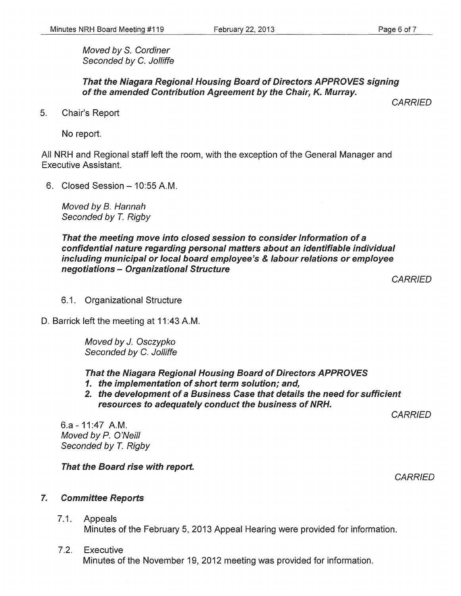Moved by S. Cordiner Seconded by C. Jolliffe

That the Niagara Regional Housing Board of Directors APPROVES signing of the amended Contribution Agreement by the Chair, K. Murray.

**CARRIED** 

5. Chair's Report

No report.

All NRH and Regional staff left the room, with the exception of the General Manager and Executive Assistant.

6. Closed Session  $-10:55$  A.M.

Moved by B. Hannah Seconded by *T.* Rigby

That the meeting move into closed session to consider Information of a confidential nature regarding personal matters about an identifiable individual including municipal or local board employee's & labour relations or employee negotiations - Organizational Structure

**CARRIED** 

- 6.1. Organizational Structure
- D. Barrick left the meeting at 11:43 A.M.

Moved by J. Osczypko Seconded by C. Jolliffe

That the Niagara Regional Housing Board of Directors APPROVES

- 1. the implementation of short term solution; and,
- 2. the development of a Business Case that details the need for sufficient resources to adequately conduct the business of NRH.

**CARRIED** 

6.a- 11:47 A.M. Moved by P. O'Neill Seconded by T. Rigby

#### That the Board rise with report.

**CARRIED** 

#### 7. Committee Reports

7 .1. Appeals

Minutes of the February 5, 2013 Appeal Hearing were provided for information.

7.2. Executive

Minutes of the November 19, 2012 meeting was provided for information.